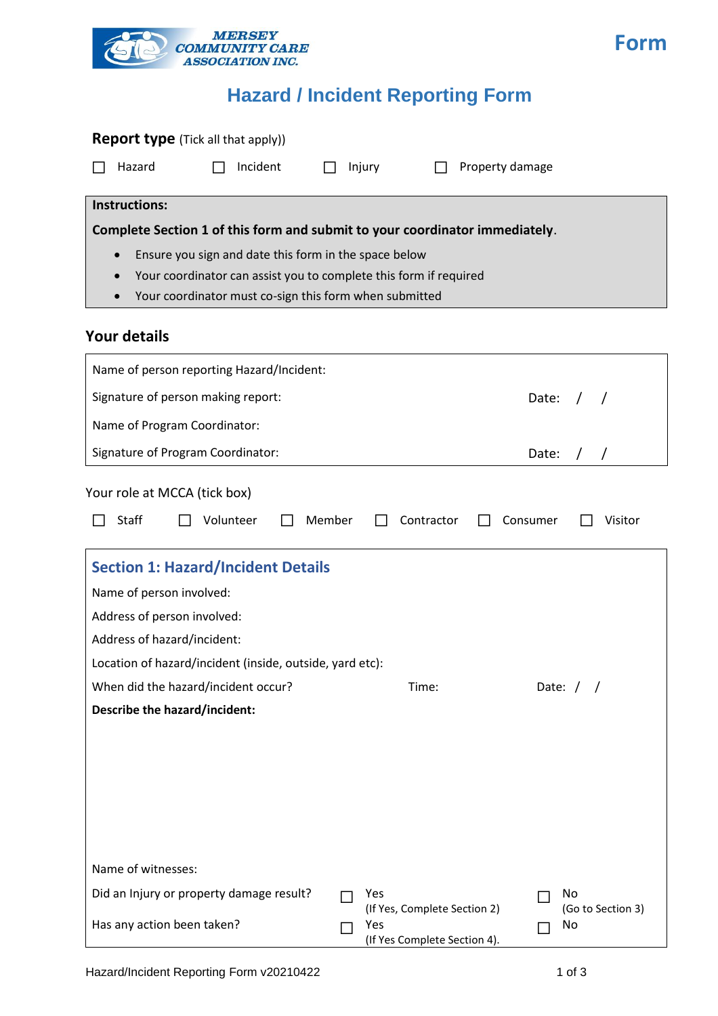

# **Hazard / Incident Reporting Form**

| <b>Report type</b> (Tick all that apply))                                                                                  |        |                                                                     |                               |
|----------------------------------------------------------------------------------------------------------------------------|--------|---------------------------------------------------------------------|-------------------------------|
| Hazard<br>Incident                                                                                                         |        | Injury                                                              | Property damage               |
| <b>Instructions:</b>                                                                                                       |        |                                                                     |                               |
| Complete Section 1 of this form and submit to your coordinator immediately.                                                |        |                                                                     |                               |
| Ensure you sign and date this form in the space below<br>$\bullet$                                                         |        |                                                                     |                               |
| Your coordinator can assist you to complete this form if required<br>$\bullet$                                             |        |                                                                     |                               |
| Your coordinator must co-sign this form when submitted<br>$\bullet$                                                        |        |                                                                     |                               |
| <b>Your details</b>                                                                                                        |        |                                                                     |                               |
| Name of person reporting Hazard/Incident:                                                                                  |        |                                                                     |                               |
| Signature of person making report:                                                                                         |        |                                                                     | Date: $/$                     |
| Name of Program Coordinator:                                                                                               |        |                                                                     |                               |
| Signature of Program Coordinator:                                                                                          |        |                                                                     | Date:<br>$\prime$<br>$\prime$ |
| Staff<br>Volunteer<br><b>Section 1: Hazard/Incident Details</b><br>Name of person involved:<br>Address of person involved: | Member | Contractor                                                          | Consumer<br>Visitor           |
| Address of hazard/incident:                                                                                                |        |                                                                     |                               |
| Location of hazard/incident (inside, outside, yard etc):                                                                   |        |                                                                     |                               |
| When did the hazard/incident occur?                                                                                        |        | Time:                                                               | Date: $/$ /                   |
| Describe the hazard/incident:                                                                                              |        |                                                                     |                               |
|                                                                                                                            |        |                                                                     |                               |
| Name of witnesses:                                                                                                         |        |                                                                     |                               |
| Did an Injury or property damage result?                                                                                   |        | Yes                                                                 | No                            |
| Has any action been taken?                                                                                                 |        | (If Yes, Complete Section 2)<br>Yes<br>(If Yes Complete Section 4). | (Go to Section 3)<br>No       |

**Form**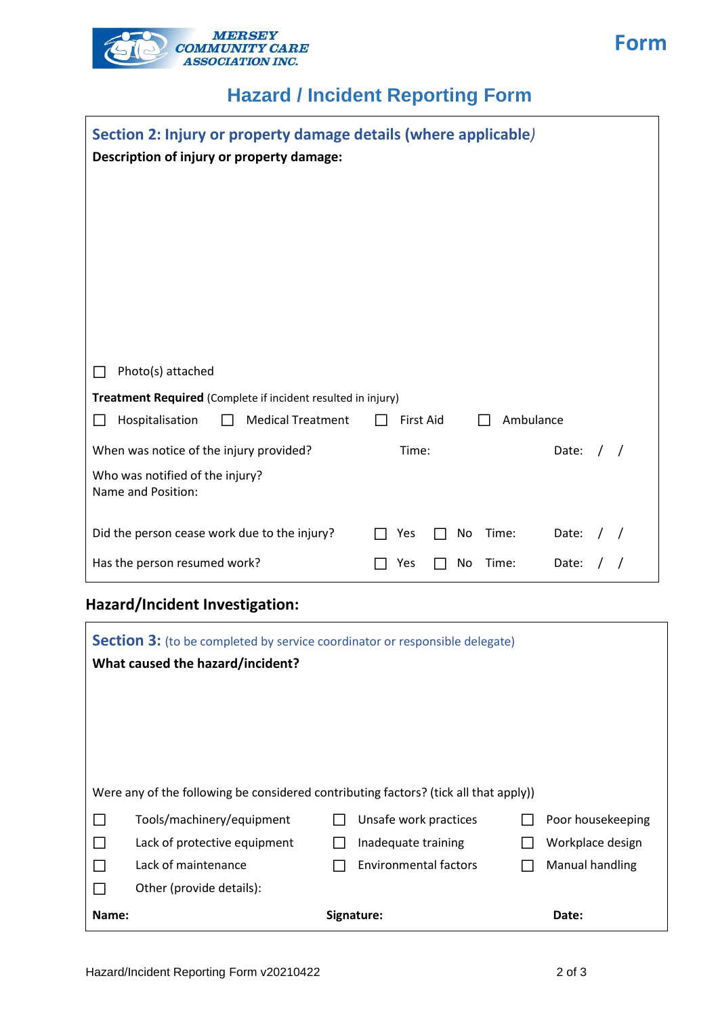

## **Hazard / Incident Reporting Form**

| Section 2: Injury or property damage details (where applicable)<br>Description of injury or property damage: |                               |       |  |
|--------------------------------------------------------------------------------------------------------------|-------------------------------|-------|--|
|                                                                                                              |                               |       |  |
|                                                                                                              |                               |       |  |
|                                                                                                              |                               |       |  |
|                                                                                                              |                               |       |  |
|                                                                                                              |                               |       |  |
| Photo(s) attached                                                                                            |                               |       |  |
| Treatment Required (Complete if incident resulted in injury)                                                 |                               |       |  |
| <b>Medical Treatment</b><br>Hospitalisation                                                                  | Ambulance<br><b>First Aid</b> |       |  |
| When was notice of the injury provided?                                                                      | Time:                         | Date: |  |
| Who was notified of the injury?<br>Name and Position:                                                        |                               |       |  |
| Did the person cease work due to the injury?                                                                 | Time:<br>Yes<br>No            | Date: |  |
| Has the person resumed work?                                                                                 | Time:<br>No<br>Yes            | Date: |  |

#### **Hazard/Incident Investigation:**

|       | <b>Section 3:</b> (to be completed by service coordinator or responsible delegate)<br>What caused the hazard/incident? |                              |                   |
|-------|------------------------------------------------------------------------------------------------------------------------|------------------------------|-------------------|
|       |                                                                                                                        |                              |                   |
|       | Were any of the following be considered contributing factors? (tick all that apply))                                   |                              |                   |
|       | Tools/machinery/equipment                                                                                              | Unsafe work practices        | Poor housekeeping |
|       | Lack of protective equipment                                                                                           | Inadequate training          | Workplace design  |
|       | Lack of maintenance                                                                                                    | <b>Environmental factors</b> | Manual handling   |
|       | Other (provide details):                                                                                               |                              |                   |
| Name: |                                                                                                                        | Signature:                   | Date:             |

**Form**